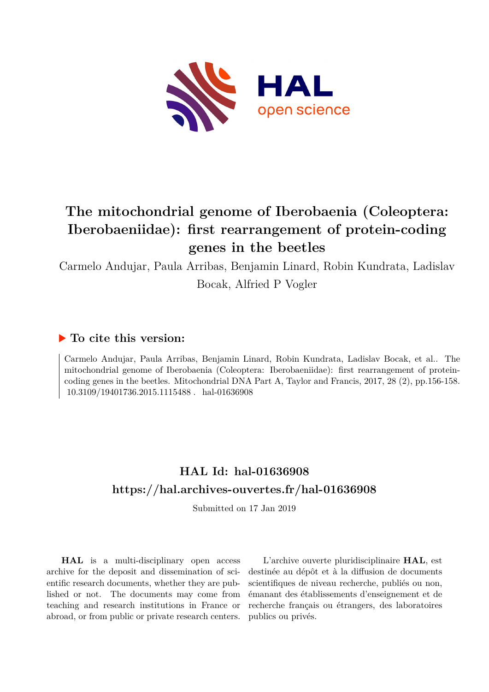

# **The mitochondrial genome of Iberobaenia (Coleoptera: Iberobaeniidae): first rearrangement of protein-coding genes in the beetles**

Carmelo Andujar, Paula Arribas, Benjamin Linard, Robin Kundrata, Ladislav Bocak, Alfried P Vogler

### **To cite this version:**

Carmelo Andujar, Paula Arribas, Benjamin Linard, Robin Kundrata, Ladislav Bocak, et al.. The mitochondrial genome of Iberobaenia (Coleoptera: Iberobaeniidae): first rearrangement of proteincoding genes in the beetles. Mitochondrial DNA Part A, Taylor and Francis, 2017, 28 (2), pp.156-158.  $10.3109/19401736.2015.1115488$ . hal-01636908

### **HAL Id: hal-01636908 <https://hal.archives-ouvertes.fr/hal-01636908>**

Submitted on 17 Jan 2019

**HAL** is a multi-disciplinary open access archive for the deposit and dissemination of scientific research documents, whether they are published or not. The documents may come from teaching and research institutions in France or abroad, or from public or private research centers.

L'archive ouverte pluridisciplinaire **HAL**, est destinée au dépôt et à la diffusion de documents scientifiques de niveau recherche, publiés ou non, émanant des établissements d'enseignement et de recherche français ou étrangers, des laboratoires publics ou privés.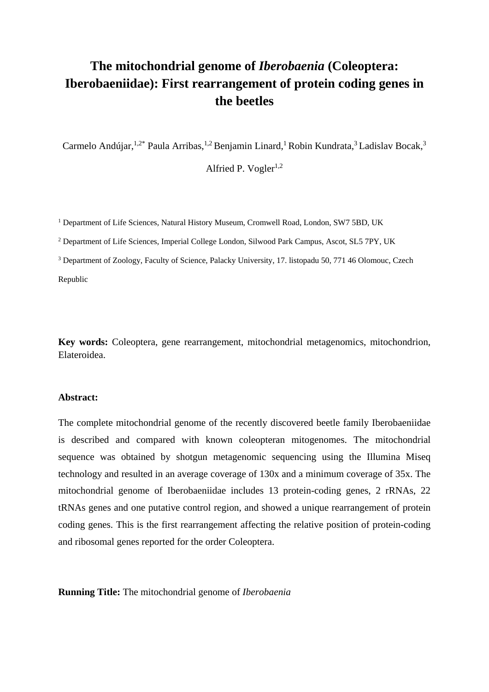## **The mitochondrial genome of** *Iberobaenia* **(Coleoptera: Iberobaeniidae): First rearrangement of protein coding genes in the beetles**

Carmelo Andújar,<sup>1,2\*</sup> Paula Arribas,<sup>1,2</sup> Benjamin Linard,<sup>1</sup> Robin Kundrata,<sup>3</sup> Ladislav Bocak,<sup>3</sup>

Alfried P. Vogler $^{1,2}$ 

<sup>1</sup> Department of Life Sciences, Natural History Museum, Cromwell Road, London, SW7 5BD, UK

<sup>2</sup> Department of Life Sciences, Imperial College London, Silwood Park Campus, Ascot, SL5 7PY, UK

<sup>3</sup> Department of Zoology, Faculty of Science, Palacky University, 17. listopadu 50, 771 46 Olomouc, Czech Republic

**Key words:** Coleoptera, gene rearrangement, mitochondrial metagenomics, mitochondrion, Elateroidea.

#### **Abstract:**

The complete mitochondrial genome of the recently discovered beetle family Iberobaeniidae is described and compared with known coleopteran mitogenomes. The mitochondrial sequence was obtained by shotgun metagenomic sequencing using the Illumina Miseq technology and resulted in an average coverage of 130x and a minimum coverage of 35x. The mitochondrial genome of Iberobaeniidae includes 13 protein-coding genes, 2 rRNAs, 22 tRNAs genes and one putative control region, and showed a unique rearrangement of protein coding genes. This is the first rearrangement affecting the relative position of protein-coding and ribosomal genes reported for the order Coleoptera.

**Running Title:** The mitochondrial genome of *Iberobaenia*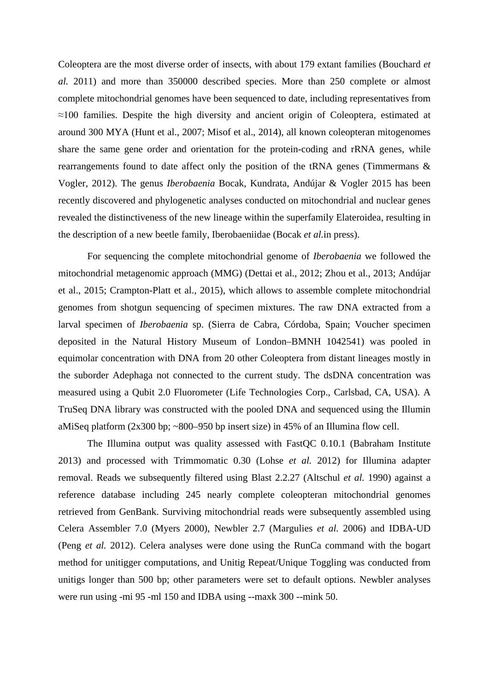Coleoptera are the most diverse order of insects, with about 179 extant families (Bouchard *et al.* 2011) and more than 350000 described species. More than 250 complete or almost complete mitochondrial genomes have been sequenced to date, including representatives from ≈100 families. Despite the high diversity and ancient origin of Coleoptera, estimated at around 300 MYA (Hunt et al., 2007; Misof et al., 2014), all known coleopteran mitogenomes share the same gene order and orientation for the protein-coding and rRNA genes, while rearrangements found to date affect only the position of the tRNA genes (Timmermans & Vogler, 2012). The genus *Iberobaenia* Bocak, Kundrata, Andújar & Vogler 2015 has been recently discovered and phylogenetic analyses conducted on mitochondrial and nuclear genes revealed the distinctiveness of the new lineage within the superfamily Elateroidea, resulting in the description of a new beetle family, Iberobaeniidae (Bocak *et al.*in press).

For sequencing the complete mitochondrial genome of *Iberobaenia* we followed the mitochondrial metagenomic approach (MMG) (Dettai et al., 2012; Zhou et al., 2013; Andújar et al., 2015; Crampton-Platt et al., 2015), which allows to assemble complete mitochondrial genomes from shotgun sequencing of specimen mixtures. The raw DNA extracted from a larval specimen of *Iberobaenia* sp. (Sierra de Cabra, Córdoba, Spain; Voucher specimen deposited in the Natural History Museum of London–BMNH 1042541) was pooled in equimolar concentration with DNA from 20 other Coleoptera from distant lineages mostly in the suborder Adephaga not connected to the current study. The dsDNA concentration was measured using a Qubit 2.0 Fluorometer (Life Technologies Corp., Carlsbad, CA, USA). A TruSeq DNA library was constructed with the pooled DNA and sequenced using the Illumin aMiSeq platform (2x300 bp; ~800–950 bp insert size) in 45% of an Illumina flow cell.

The Illumina output was quality assessed with FastQC 0.10.1 (Babraham Institute 2013) and processed with Trimmomatic 0.30 (Lohse *et al.* 2012) for Illumina adapter removal. Reads we subsequently filtered using Blast 2.2.27 (Altschul *et al.* 1990) against a reference database including 245 nearly complete coleopteran mitochondrial genomes retrieved from GenBank. Surviving mitochondrial reads were subsequently assembled using Celera Assembler 7.0 (Myers 2000), Newbler 2.7 (Margulies *et al.* 2006) and IDBA-UD (Peng *et al.* 2012). Celera analyses were done using the RunCa command with the bogart method for unitigger computations, and Unitig Repeat/Unique Toggling was conducted from unitigs longer than 500 bp; other parameters were set to default options. Newbler analyses were run using -mi 95 -ml 150 and IDBA using --maxk 300 --mink 50.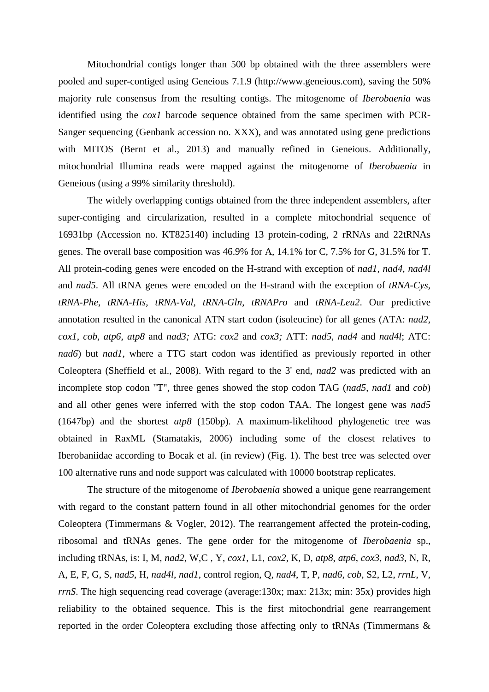Mitochondrial contigs longer than 500 bp obtained with the three assemblers were pooled and super-contiged using Geneious 7.1.9 (http://www.geneious.com), saving the 50% majority rule consensus from the resulting contigs. The mitogenome of *Iberobaenia* was identified using the *cox1* barcode sequence obtained from the same specimen with PCR-Sanger sequencing (Genbank accession no. XXX), and was annotated using gene predictions with MITOS (Bernt et al., 2013) and manually refined in Geneious. Additionally, mitochondrial Illumina reads were mapped against the mitogenome of *Iberobaenia* in Geneious (using a 99% similarity threshold).

The widely overlapping contigs obtained from the three independent assemblers, after super-contiging and circularization, resulted in a complete mitochondrial sequence of 16931bp (Accession no. KT825140) including 13 protein-coding, 2 rRNAs and 22tRNAs genes. The overall base composition was 46.9% for A, 14.1% for C, 7.5% for G, 31.5% for T. All protein-coding genes were encoded on the H-strand with exception of *nad1*, *nad4*, *nad4l* and *nad5*. All tRNA genes were encoded on the H-strand with the exception of *tRNA-Cys*, *tRNA-Phe*, *tRNA-His*, *tRNA-Val, tRNA-Gln*, *tRNAPro* and *tRNA-Leu2*. Our predictive annotation resulted in the canonical ATN start codon (isoleucine) for all genes (ATA: *nad2*, *cox1*, *cob*, *atp6*, *atp8* and *nad3;* ATG: *cox2* and *cox3;* ATT: *nad5*, *nad4* and *nad4l*; ATC: *nad6*) but *nad1*, where a TTG start codon was identified as previously reported in other Coleoptera (Sheffield et al., 2008). With regard to the 3' end, *nad2* was predicted with an incomplete stop codon "T", three genes showed the stop codon TAG (*nad5*, *nad1* and *cob*) and all other genes were inferred with the stop codon TAA. The longest gene was *nad5* (1647bp) and the shortest *atp8* (150bp). A maximum-likelihood phylogenetic tree was obtained in RaxML (Stamatakis, 2006) including some of the closest relatives to Iberobaniidae according to Bocak et al. (in review) (Fig. 1). The best tree was selected over 100 alternative runs and node support was calculated with 10000 bootstrap replicates.

The structure of the mitogenome of *Iberobaenia* showed a unique gene rearrangement with regard to the constant pattern found in all other mitochondrial genomes for the order Coleoptera (Timmermans & Vogler, 2012). The rearrangement affected the protein-coding, ribosomal and tRNAs genes. The gene order for the mitogenome of *Iberobaenia* sp., including tRNAs, is: I, M, *nad2*, W,C , Y, *cox1*, L1, *cox2*, K, D, *atp8*, *atp6*, *cox3*, *nad3*, N, R, A, E, F, G, S, *nad5*, H, *nad4l*, *nad1*, control region, Q, *nad4*, T, P, *nad6*, *cob*, S2, L2, *rrnL*, V, *rrnS*. The high sequencing read coverage (average:130x; max: 213x; min: 35x) provides high reliability to the obtained sequence. This is the first mitochondrial gene rearrangement reported in the order Coleoptera excluding those affecting only to tRNAs (Timmermans &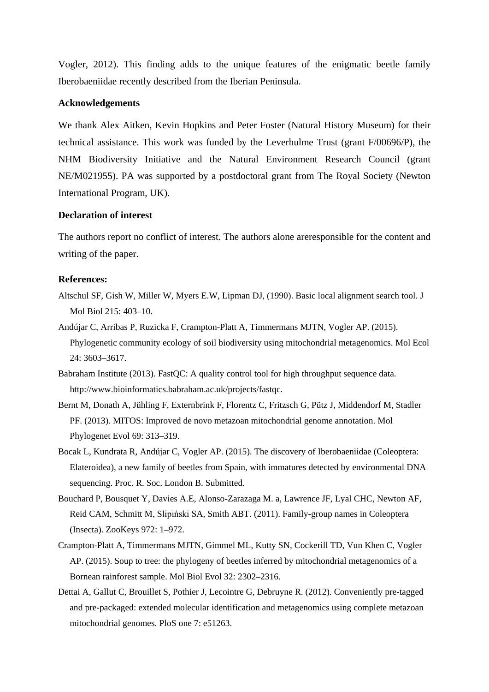Vogler, 2012). This finding adds to the unique features of the enigmatic beetle family Iberobaeniidae recently described from the Iberian Peninsula.

#### **Acknowledgements**

We thank Alex Aitken, Kevin Hopkins and Peter Foster (Natural History Museum) for their technical assistance. This work was funded by the Leverhulme Trust (grant F/00696/P), the NHM Biodiversity Initiative and the Natural Environment Research Council (grant NE/M021955). PA was supported by a postdoctoral grant from The Royal Society (Newton International Program, UK).

#### **Declaration of interest**

The authors report no conflict of interest. The authors alone areresponsible for the content and writing of the paper.

#### **References:**

- Altschul SF, Gish W, Miller W, Myers E.W, Lipman DJ, (1990). Basic local alignment search tool. J Mol Biol 215: 403–10.
- Andújar C, Arribas P, Ruzicka F, Crampton-Platt A, Timmermans MJTN, Vogler AP. (2015). Phylogenetic community ecology of soil biodiversity using mitochondrial metagenomics. Mol Ecol 24: 3603–3617.
- Babraham Institute (2013). FastQC: A quality control tool for high throughput sequence data. http://www.bioinformatics.babraham.ac.uk/projects/fastqc.
- Bernt M, Donath A, Jühling F, Externbrink F, Florentz C, Fritzsch G, Pütz J, Middendorf M, Stadler PF. (2013). MITOS: Improved de novo metazoan mitochondrial genome annotation. Mol Phylogenet Evol 69: 313–319.
- Bocak L, Kundrata R, Andújar C, Vogler AP. (2015). The discovery of Iberobaeniidae (Coleoptera: Elateroidea), a new family of beetles from Spain, with immatures detected by environmental DNA sequencing. Proc. R. Soc. London B. Submitted.
- Bouchard P, Bousquet Y, Davies A.E, Alonso-Zarazaga M. a, Lawrence JF, Lyal CHC, Newton AF, Reid CAM, Schmitt M, Slipiński SA, Smith ABT. (2011). Family-group names in Coleoptera (Insecta). ZooKeys 972: 1–972.
- Crampton-Platt A, Timmermans MJTN, Gimmel ML, Kutty SN, Cockerill TD, Vun Khen C, Vogler AP. (2015). Soup to tree: the phylogeny of beetles inferred by mitochondrial metagenomics of a Bornean rainforest sample. Mol Biol Evol 32: 2302–2316.
- Dettai A, Gallut C, Brouillet S, Pothier J, Lecointre G, Debruyne R. (2012). Conveniently pre-tagged and pre-packaged: extended molecular identification and metagenomics using complete metazoan mitochondrial genomes. PloS one 7: e51263.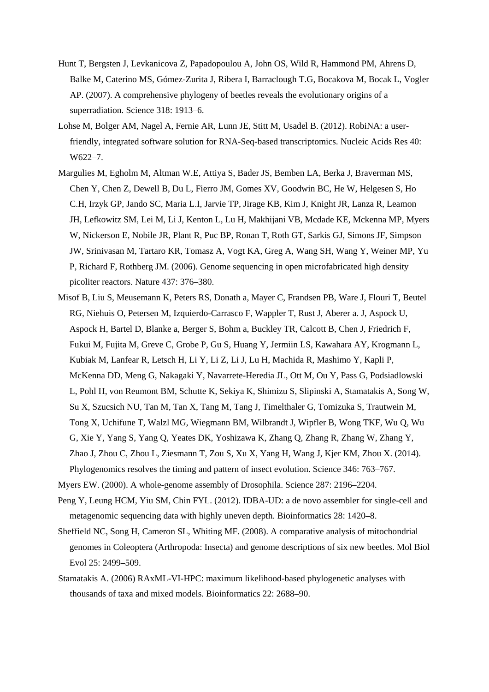- Hunt T, Bergsten J, Levkanicova Z, Papadopoulou A, John OS, Wild R, Hammond PM, Ahrens D, Balke M, Caterino MS, Gómez-Zurita J, Ribera I, Barraclough T.G, Bocakova M, Bocak L, Vogler AP. (2007). A comprehensive phylogeny of beetles reveals the evolutionary origins of a superradiation. Science 318: 1913–6.
- Lohse M, Bolger AM, Nagel A, Fernie AR, Lunn JE, Stitt M, Usadel B. (2012). RobiNA: a userfriendly, integrated software solution for RNA-Seq-based transcriptomics. Nucleic Acids Res 40: W622–7.
- Margulies M, Egholm M, Altman W.E, Attiya S, Bader JS, Bemben LA, Berka J, Braverman MS, Chen Y, Chen Z, Dewell B, Du L, Fierro JM, Gomes XV, Goodwin BC, He W, Helgesen S, Ho C.H, Irzyk GP, Jando SC, Maria L.I, Jarvie TP, Jirage KB, Kim J, Knight JR, Lanza R, Leamon JH, Lefkowitz SM, Lei M, Li J, Kenton L, Lu H, Makhijani VB, Mcdade KE, Mckenna MP, Myers W, Nickerson E, Nobile JR, Plant R, Puc BP, Ronan T, Roth GT, Sarkis GJ, Simons JF, Simpson JW, Srinivasan M, Tartaro KR, Tomasz A, Vogt KA, Greg A, Wang SH, Wang Y, Weiner MP, Yu P, Richard F, Rothberg JM. (2006). Genome sequencing in open microfabricated high density picoliter reactors. Nature 437: 376–380.
- Misof B, Liu S, Meusemann K, Peters RS, Donath a, Mayer C, Frandsen PB, Ware J, Flouri T, Beutel RG, Niehuis O, Petersen M, Izquierdo-Carrasco F, Wappler T, Rust J, Aberer a. J, Aspock U, Aspock H, Bartel D, Blanke a, Berger S, Bohm a, Buckley TR, Calcott B, Chen J, Friedrich F, Fukui M, Fujita M, Greve C, Grobe P, Gu S, Huang Y, Jermiin LS, Kawahara AY, Krogmann L, Kubiak M, Lanfear R, Letsch H, Li Y, Li Z, Li J, Lu H, Machida R, Mashimo Y, Kapli P, McKenna DD, Meng G, Nakagaki Y, Navarrete-Heredia JL, Ott M, Ou Y, Pass G, Podsiadlowski L, Pohl H, von Reumont BM, Schutte K, Sekiya K, Shimizu S, Slipinski A, Stamatakis A, Song W, Su X, Szucsich NU, Tan M, Tan X, Tang M, Tang J, Timelthaler G, Tomizuka S, Trautwein M, Tong X, Uchifune T, Walzl MG, Wiegmann BM, Wilbrandt J, Wipfler B, Wong TKF, Wu Q, Wu G, Xie Y, Yang S, Yang Q, Yeates DK, Yoshizawa K, Zhang Q, Zhang R, Zhang W, Zhang Y, Zhao J, Zhou C, Zhou L, Ziesmann T, Zou S, Xu X, Yang H, Wang J, Kjer KM, Zhou X. (2014). Phylogenomics resolves the timing and pattern of insect evolution. Science 346: 763–767.
- Myers EW. (2000). A whole-genome assembly of Drosophila. Science 287: 2196–2204.
- Peng Y, Leung HCM, Yiu SM, Chin FYL. (2012). IDBA-UD: a de novo assembler for single-cell and metagenomic sequencing data with highly uneven depth. Bioinformatics 28: 1420–8.
- Sheffield NC, Song H, Cameron SL, Whiting MF. (2008). A comparative analysis of mitochondrial genomes in Coleoptera (Arthropoda: Insecta) and genome descriptions of six new beetles. Mol Biol Evol 25: 2499–509.
- Stamatakis A. (2006) RAxML-VI-HPC: maximum likelihood-based phylogenetic analyses with thousands of taxa and mixed models. Bioinformatics 22: 2688–90.